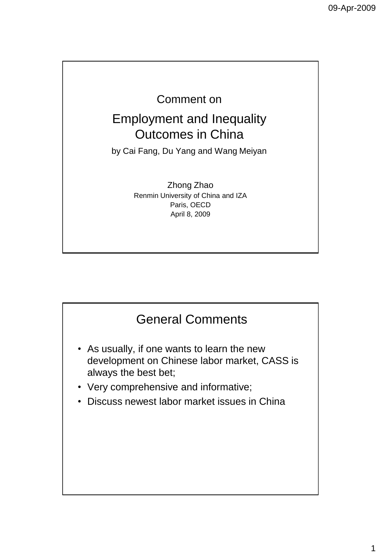## Comment on

## Employment and Inequality Outcomes in China

by Cai Fang, Du Yang and Wang Meiyan

Zhong Zhao Renmin University of China and IZA Paris, OECD April 8, 2009

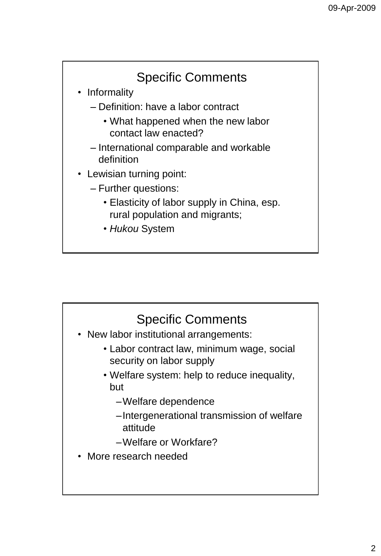## Specific Comments • Informality – Definition: have a labor contract • What happened when the new labor contact law enacted? – International comparable and workable definition • Lewisian turning point: – Further questions: • Elasticity of labor supply in China, esp. rural population and migrants; • *Hukou* System

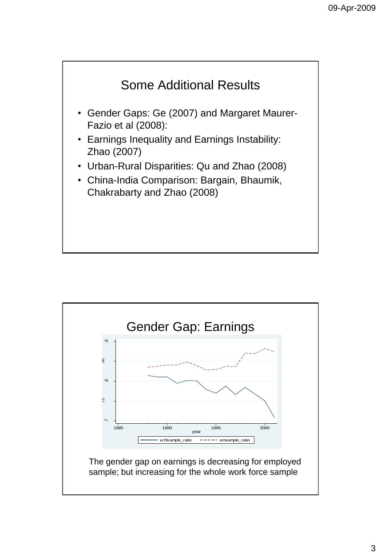

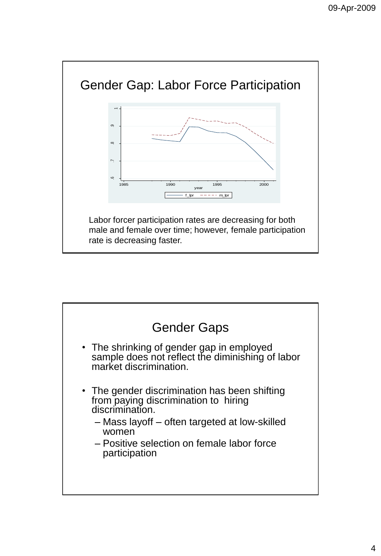

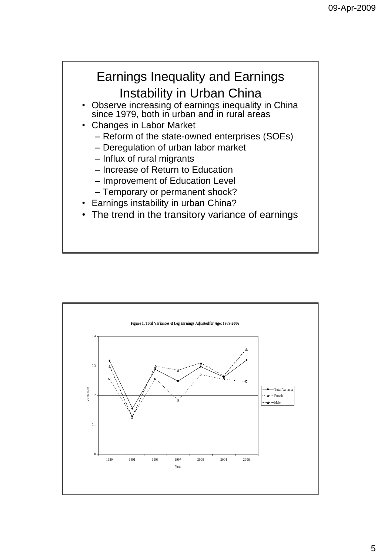

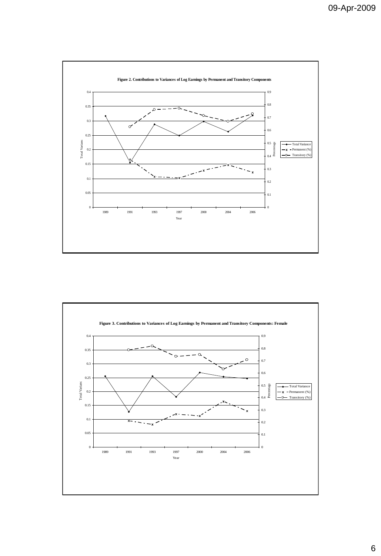

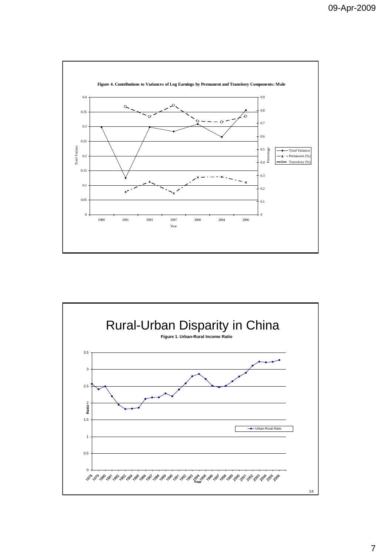

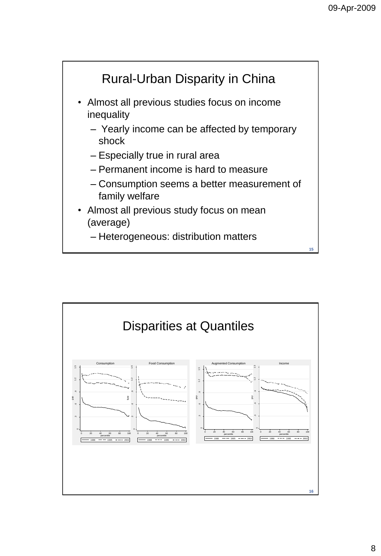

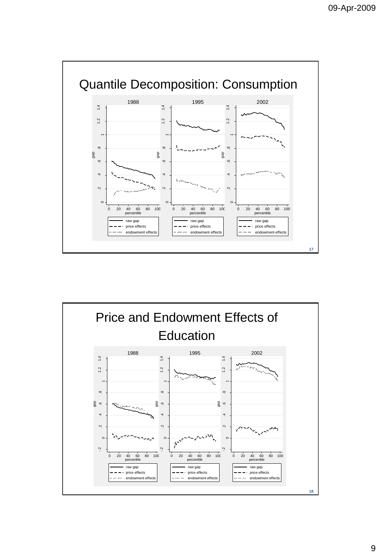

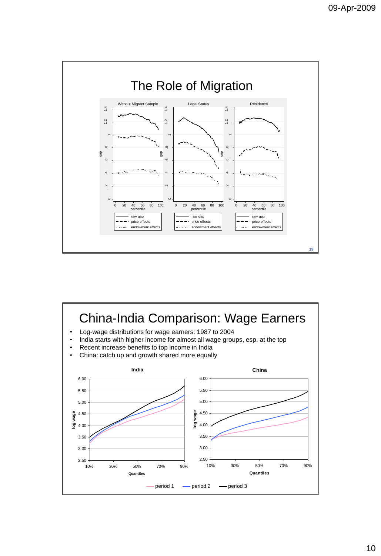

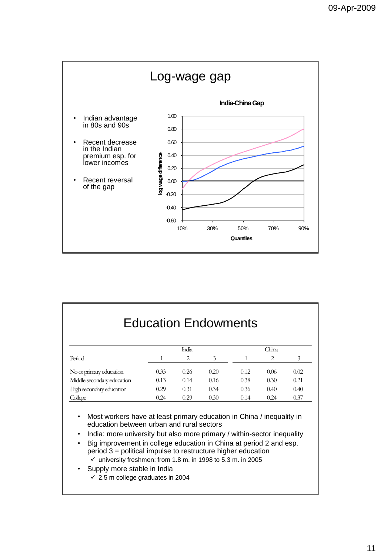

| <b>Education Endowments</b> |      |      |      |      |      |      |
|-----------------------------|------|------|------|------|------|------|
|                             |      |      |      |      |      |      |
| Penod                       |      | 2    | 3    |      | 2    | 3    |
| No or primary education     | 0.33 | 0.26 | 0.20 | 0.12 | 0.06 | 0.02 |
| Middle secondary education  | 0.13 | 0.14 | 0.16 | 0.38 | 0.30 | 0.21 |
| High secondary education    | 0.29 | 0.31 | 0.34 | 0.36 | 0.40 | 0.40 |
| College                     | 0.24 | 0.29 | 0.30 | 0.14 | 0.24 | 0.37 |

- Most workers have at least primary education in China / inequality in education between urban and rural sectors
- India: more university but also more primary / within-sector inequality
- Big improvement in college education in China at period 2 and esp. period 3 = political impulse to restructure higher education  $\checkmark$  university freshmen: from 1.8 m. in 1998 to 5.3 m. in 2005
- Supply more stable in India
	- $\checkmark$  2.5 m college graduates in 2004